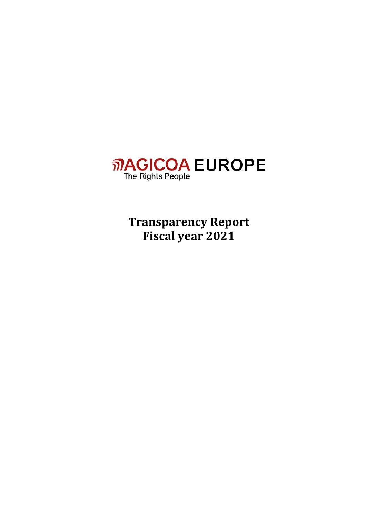

**Transparency Report Fiscal year 2021**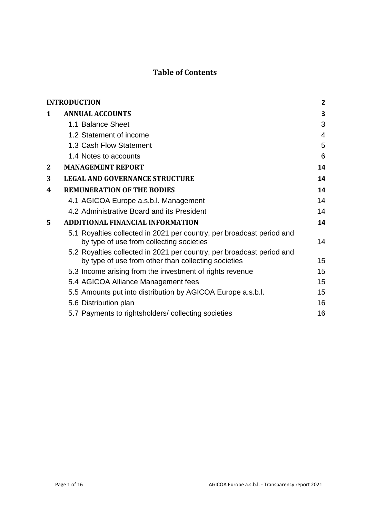# **Table of Contents**

| <b>INTRODUCTION</b>                                                                                                          | $\overline{2}$ |
|------------------------------------------------------------------------------------------------------------------------------|----------------|
| <b>ANNUAL ACCOUNTS</b>                                                                                                       | 3              |
| 1.1 Balance Sheet                                                                                                            | 3              |
| 1.2 Statement of income                                                                                                      | $\overline{4}$ |
| 1.3 Cash Flow Statement                                                                                                      | 5              |
| 1.4 Notes to accounts                                                                                                        | 6              |
| <b>MANAGEMENT REPORT</b>                                                                                                     | 14             |
| <b>LEGAL AND GOVERNANCE STRUCTURE</b>                                                                                        | 14             |
| <b>REMUNERATION OF THE BODIES</b>                                                                                            | 14             |
| 4.1 AGICOA Europe a.s.b.l. Management                                                                                        | 14             |
| 4.2 Administrative Board and its President                                                                                   | 14             |
| <b>ADDITIONAL FINANCIAL INFORMATION</b>                                                                                      | 14             |
| 5.1 Royalties collected in 2021 per country, per broadcast period and<br>by type of use from collecting societies            | 14             |
| 5.2 Royalties collected in 2021 per country, per broadcast period and<br>by type of use from other than collecting societies | 15             |
| 5.3 Income arising from the investment of rights revenue                                                                     | 15             |
| 5.4 AGICOA Alliance Management fees                                                                                          | 15             |
| 5.5 Amounts put into distribution by AGICOA Europe a.s.b.l.                                                                  | 15             |
| 5.6 Distribution plan                                                                                                        | 16             |
| 5.7 Payments to rightsholders/collecting societies                                                                           | 16             |
|                                                                                                                              |                |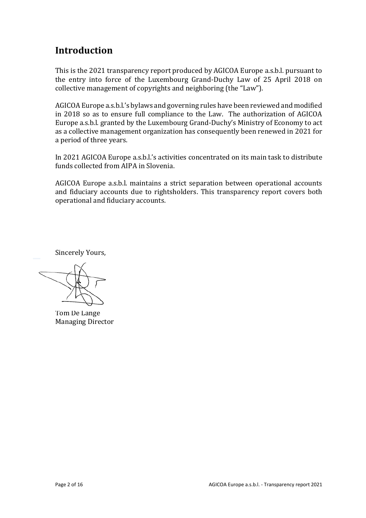# <span id="page-2-0"></span>**Introduction**

This is the 2021 transparency report produced by AGICOA Europe a.s.b.l. pursuant to the entry into force of the Luxembourg Grand-Duchy Law of 25 April 2018 on collective management of copyrights and neighboring (the "Law").

AGICOA Europe a.s.b.l.'s bylaws and governing rules have been reviewed and modified in 2018 so as to ensure full compliance to the Law. The authorization of AGICOA Europe a.s.b.l. granted by the Luxembourg Grand-Duchy's Ministry of Economy to act as a collective management organization has consequently been renewed in 2021 for a period of three years.

In 2021 AGICOA Europe a.s.b.l.'s activities concentrated on its main task to distribute funds collected from AIPA in Slovenia.

AGICOA Europe a.s.b.l. maintains a strict separation between operational accounts and fiduciary accounts due to rightsholders. This transparency report covers both operational and fiduciary accounts.

Sincerely Yours,

Tom De Lange Managing Director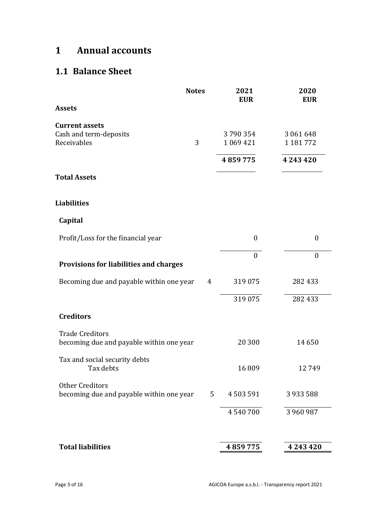# <span id="page-3-0"></span>**1 Annual accounts**

# <span id="page-3-1"></span>**1.1 Balance Sheet**

|                                                                    | <b>Notes</b>   | 2021<br><b>EUR</b>       | 2020<br><b>EUR</b>         |
|--------------------------------------------------------------------|----------------|--------------------------|----------------------------|
| <b>Assets</b>                                                      |                |                          |                            |
| <b>Current assets</b><br>Cash and term-deposits<br>Receivables     | 3              | 3790354<br>1 0 6 9 4 2 1 | 3 061 648<br>1 1 8 1 7 7 2 |
|                                                                    |                | 4859775                  | 4 2 4 3 4 2 0              |
| <b>Total Assets</b>                                                |                |                          |                            |
| <b>Liabilities</b>                                                 |                |                          |                            |
| Capital                                                            |                |                          |                            |
| Profit/Loss for the financial year                                 |                | $\boldsymbol{0}$         | $\boldsymbol{0}$           |
| Provisions for liabilities and charges                             |                | $\boldsymbol{0}$         | $\boldsymbol{0}$           |
| Becoming due and payable within one year                           | $\overline{4}$ | 319 075                  | 282 433                    |
|                                                                    |                | 319 075                  | 282 433                    |
| <b>Creditors</b>                                                   |                |                          |                            |
| <b>Trade Creditors</b><br>becoming due and payable within one year |                | 20 300                   | 14 650                     |
| Tax and social security debts<br>Tax debts                         |                | 16809                    | 12749                      |
| <b>Other Creditors</b><br>becoming due and payable within one year | 5              | 4503591                  | 3933588                    |
|                                                                    |                | 4540700                  | 3 960 987                  |
| <b>Total liabilities</b>                                           |                | 4859775                  |                            |
|                                                                    |                |                          | 4 2 4 3 4 2 0              |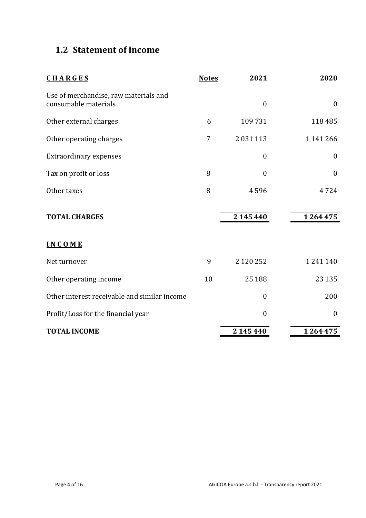# <span id="page-4-0"></span>**1.2 Statement of income**

| <b>CHARGES</b>                                                | <b>Notes</b>   | 2021             | 2020             |
|---------------------------------------------------------------|----------------|------------------|------------------|
| Use of merchandise, raw materials and<br>consumable materials |                | $\mathbf{0}$     | $\boldsymbol{0}$ |
| Other external charges                                        | 6              | 109 731          | 118 485          |
| Other operating charges                                       | $\overline{7}$ | 2 0 3 1 1 1 3    | 1 141 266        |
| <b>Extraordinary expenses</b>                                 |                | $\boldsymbol{0}$ | $\boldsymbol{0}$ |
| Tax on profit or loss                                         | 8              | $\boldsymbol{0}$ | $\boldsymbol{0}$ |
| Other taxes                                                   | 8              | 4596             | 4724             |
| <b>TOTAL CHARGES</b>                                          |                | 2 145 440        | 1 264 475        |
| <b>INCOME</b>                                                 |                |                  |                  |
| Net turnover                                                  | 9              | 2 120 252        | 1241140          |
| Other operating income                                        | 10             | 25 188           | 23 1 35          |
| Other interest receivable and similar income                  |                | $\mathbf{0}$     | 200              |
| Profit/Loss for the financial year                            |                | $\boldsymbol{0}$ | $\boldsymbol{0}$ |
| <b>TOTAL INCOME</b>                                           |                | 2 145 440        | 1264475          |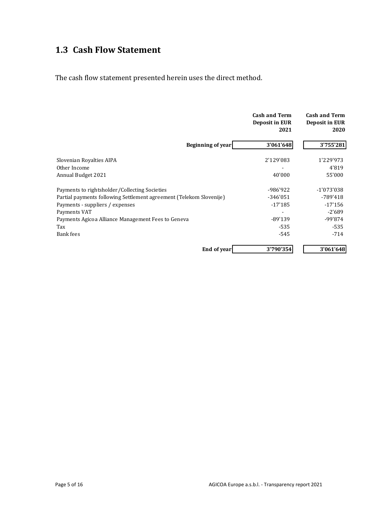# <span id="page-5-0"></span>**1.3 Cash Flow Statement**

The cash flow statement presented herein uses the direct method.

|                                                                     | <b>Cash and Term</b><br>Deposit in EUR<br>2021 | <b>Cash and Term</b><br>Deposit in EUR<br>2020 |
|---------------------------------------------------------------------|------------------------------------------------|------------------------------------------------|
| Beginning of year                                                   | 3'061'648                                      | 3'755'281                                      |
| Slovenian Royalties AIPA                                            | 2'129'083                                      | 1'229'973                                      |
| Other Income                                                        |                                                | 4'819                                          |
| Annual Budget 2021                                                  | 40'000                                         | 55'000                                         |
| Payments to rightsholder/Collecting Societies                       | -986'922                                       | -1'073'038                                     |
| Partial payments following Settlement agreement (Telekom Slovenije) | -346'051                                       | -789'418                                       |
| Payments - suppliers / expenses                                     | $-17'185$                                      | $-17'156$                                      |
| Payments VAT                                                        | -                                              | $-2'689$                                       |
| Payments Agicoa Alliance Management Fees to Geneva                  | $-89'139$                                      | $-99'874$                                      |
| Tax                                                                 | $-535$                                         | $-535$                                         |
| Bank fees                                                           | $-545$                                         | $-714$                                         |
| End of year                                                         | 3'790'354                                      | 3'061'648                                      |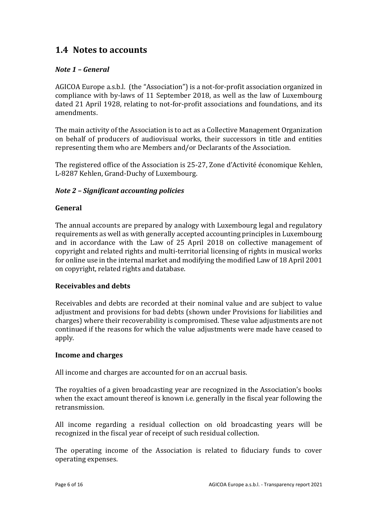# <span id="page-6-0"></span>**1.4 Notes to accounts**

### *Note 1 – General*

AGICOA Europe a.s.b.l. (the "Association") is a not-for-profit association organized in compliance with by-laws of 11 September 2018, as well as the law of Luxembourg dated 21 April 1928, relating to not-for-profit associations and foundations, and its amendments.

The main activity of the Association is to act as a Collective Management Organization on behalf of producers of audiovisual works, their successors in title and entities representing them who are Members and/or Declarants of the Association.

The registered office of the Association is 25-27, Zone d'Activité économique Kehlen, L-8287 Kehlen, Grand-Duchy of Luxembourg.

### *Note 2 – Significant accounting policies*

### **General**

The annual accounts are prepared by analogy with Luxembourg legal and regulatory requirements as well as with generally accepted accounting principles in Luxembourg and in accordance with the Law of 25 April 2018 on collective management of copyright and related rights and multi-territorial licensing of rights in musical works for online use in the internal market and modifying the modified Law of 18 April 2001 on copyright, related rights and database.

#### **Receivables and debts**

Receivables and debts are recorded at their nominal value and are subject to value adjustment and provisions for bad debts (shown under Provisions for liabilities and charges) where their recoverability is compromised. These value adjustments are not continued if the reasons for which the value adjustments were made have ceased to apply.

#### **Income and charges**

All income and charges are accounted for on an accrual basis.

The royalties of a given broadcasting year are recognized in the Association's books when the exact amount thereof is known i.e. generally in the fiscal year following the retransmission.

All income regarding a residual collection on old broadcasting years will be recognized in the fiscal year of receipt of such residual collection.

The operating income of the Association is related to fiduciary funds to cover operating expenses.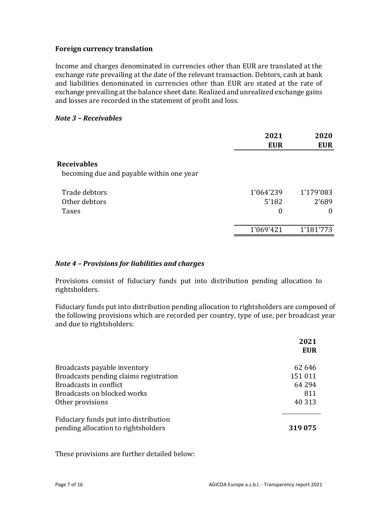#### **Foreign currency translation**

Income and charges denominated in currencies other than EUR are translated at the exchange rate prevailing at the date of the relevant transaction. Debtors, cash at bank and liabilities denominated in currencies other than EUR are stated at the rate of exchange prevailing at the balance sheet date. Realized and unrealized exchange gains and losses are recorded in the statement of profit and loss.

#### *Note 3 – Receivables*

|                                                                | 2021<br><b>EUR</b>                     | 2020<br><b>EUR</b>             |
|----------------------------------------------------------------|----------------------------------------|--------------------------------|
| <b>Receivables</b><br>becoming due and payable within one year |                                        |                                |
| Trade debtors<br>Other debtors<br>Taxes                        | 1'064'239<br>5'182<br>$\boldsymbol{0}$ | 1'179'083<br>2'689<br>$\theta$ |
|                                                                | 1'069'421                              | 1'181'773                      |

#### *Note 4 – Provisions for liabilities and charges*

Provisions consist of fiduciary funds put into distribution pending allocation to rightsholders.

Fiduciary funds put into distribution pending allocation to rightsholders are composed of the following provisions which are recorded per country, type of use, per broadcast year and due to rightsholders:

|                                                                              | 2021<br><b>EUR</b> |
|------------------------------------------------------------------------------|--------------------|
| Broadcasts payable inventory                                                 | 62 646             |
| Broadcasts pending claims registration                                       | 151011             |
| Broadcasts in conflict                                                       | 64 294             |
| Broadcasts on blocked works                                                  | 811                |
| Other provisions                                                             | 40 313             |
| Fiduciary funds put into distribution<br>pending allocation to rightsholders | 319075             |

These provisions are further detailed below: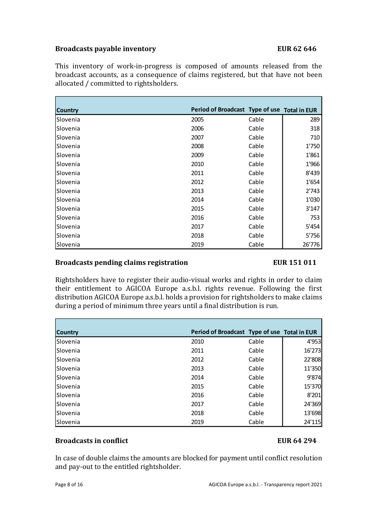#### **Broadcasts payable inventory EUR 62 646**

This inventory of work-in-progress is composed of amounts released from the broadcast accounts, as a consequence of claims registered, but that have not been allocated / committed to rightsholders.

| <b>Country</b>  | Period of Broadcast Type of use Total in EUR |       |        |
|-----------------|----------------------------------------------|-------|--------|
| Slovenia        | 2005                                         | Cable | 289    |
| Slovenia        | 2006                                         | Cable | 318    |
| Slovenia        | 2007                                         | Cable | 710    |
| Slovenia        | 2008                                         | Cable | 1'750  |
| Slovenia        | 2009                                         | Cable | 1'861  |
| <b>Slovenia</b> | 2010                                         | Cable | 1'966  |
| <b>Slovenia</b> | 2011                                         | Cable | 8'439  |
| Slovenia        | 2012                                         | Cable | 1'654  |
| Slovenia        | 2013                                         | Cable | 2'743  |
| <b>Slovenia</b> | 2014                                         | Cable | 1'030  |
| <b>Slovenia</b> | 2015                                         | Cable | 3'147  |
| <b>Slovenia</b> | 2016                                         | Cable | 753    |
| Slovenia        | 2017                                         | Cable | 5'454  |
| Slovenia        | 2018                                         | Cable | 5'756  |
| Slovenia        | 2019                                         | Cable | 26'776 |

### **Broadcasts pending claims registration EUR 151 011**

Rightsholders have to register their audio-visual works and rights in order to claim their entitlement to AGICOA Europe a.s.b.l. rights revenue. Following the first distribution AGICOA Europe a.s.b.l. holds a provision for rightsholders to make claims during a period of minimum three years until a final distribution is run.

| <b>Country</b>   | Period of Broadcast Type of use Total in EUR |       |        |
|------------------|----------------------------------------------|-------|--------|
| l Slovenia       | 2010                                         | Cable | 4'953  |
| <b>ISlovenia</b> | 2011                                         | Cable | 16'273 |
| <b>Slovenia</b>  | 2012                                         | Cable | 22'808 |
| <b>Slovenia</b>  | 2013                                         | Cable | 11'350 |
| l Slovenia       | 2014                                         | Cable | 9'874  |
| <b>Slovenia</b>  | 2015                                         | Cable | 15'370 |
| l Slovenia       | 2016                                         | Cable | 8'201  |
| l Slovenia       | 2017                                         | Cable | 24'369 |
| <b>Slovenia</b>  | 2018                                         | Cable | 13'698 |
| l Slovenia       | 2019                                         | Cable | 24'115 |

### **Broadcasts in conflict EUR 64 294**

In case of double claims the amounts are blocked for payment until conflict resolution and pay-out to the entitled rightsholder.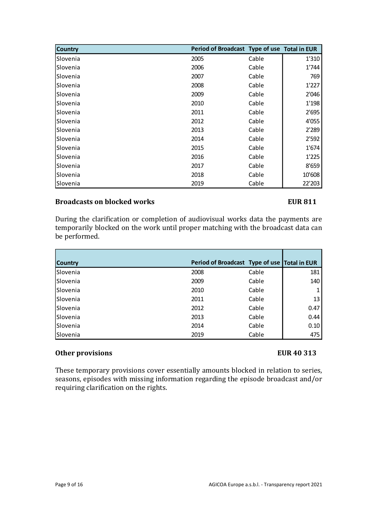| Country  | Period of Broadcast Type of use Total in EUR |       |        |
|----------|----------------------------------------------|-------|--------|
| Slovenia | 2005                                         | Cable | 1'310  |
| Slovenia | 2006                                         | Cable | 1'744  |
| Slovenia | 2007                                         | Cable | 769    |
| Slovenia | 2008                                         | Cable | 1'227  |
| Slovenia | 2009                                         | Cable | 2'046  |
| Slovenia | 2010                                         | Cable | 1'198  |
| Slovenia | 2011                                         | Cable | 2'695  |
| Slovenia | 2012                                         | Cable | 4'055  |
| Slovenia | 2013                                         | Cable | 2'289  |
| Slovenia | 2014                                         | Cable | 2'592  |
| Slovenia | 2015                                         | Cable | 1'674  |
| Slovenia | 2016                                         | Cable | 1'225  |
| Slovenia | 2017                                         | Cable | 8'659  |
| Slovenia | 2018                                         | Cable | 10'608 |
| Slovenia | 2019                                         | Cable | 22'203 |

### **Broadcasts on blocked works EUR 811**

During the clarification or completion of audiovisual works data the payments are temporarily blocked on the work until proper matching with the broadcast data can be performed.

| <b>Country</b>  | Period of Broadcast Type of use Total in EUR |       |      |
|-----------------|----------------------------------------------|-------|------|
| Slovenia        | 2008                                         | Cable | 181  |
| Slovenia        | 2009                                         | Cable | 140  |
| <b>Slovenia</b> | 2010                                         | Cable |      |
| <b>Slovenia</b> | 2011                                         | Cable | 13   |
| Slovenia        | 2012                                         | Cable | 0.47 |
| <b>Slovenia</b> | 2013                                         | Cable | 0.44 |
| <b>Slovenia</b> | 2014                                         | Cable | 0.10 |
| Slovenia        | 2019                                         | Cable | 475  |

#### **Other provisions EUR 40 313**

These temporary provisions cover essentially amounts blocked in relation to series, seasons, episodes with missing information regarding the episode broadcast and/or requiring clarification on the rights.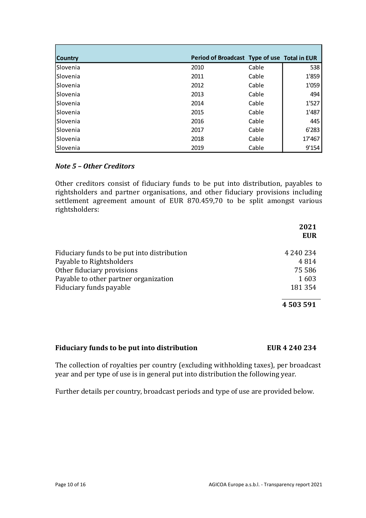| <b>Country</b>   | Period of Broadcast Type of use Total in EUR |       |        |
|------------------|----------------------------------------------|-------|--------|
| <b>Slovenia</b>  | 2010                                         | Cable | 538    |
| <b>ISlovenia</b> | 2011                                         | Cable | 1'859  |
| <b>Slovenia</b>  | 2012                                         | Cable | 1'059  |
| <b>Slovenia</b>  | 2013                                         | Cable | 494    |
| <b>ISlovenia</b> | 2014                                         | Cable | 1'527  |
| <b>Slovenia</b>  | 2015                                         | Cable | 1'487  |
| l Slovenia       | 2016                                         | Cable | 445    |
| l Slovenia       | 2017                                         | Cable | 6'283  |
| l Slovenia       | 2018                                         | Cable | 17'467 |
| <b>Slovenia</b>  | 2019                                         | Cable | 9'154  |

### *Note 5 – Other Creditors*

Other creditors consist of fiduciary funds to be put into distribution, payables to rightsholders and partner organisations, and other fiduciary provisions including settlement agreement amount of EUR 870.459,70 to be split amongst various rightsholders:

|                                             | 2021<br><b>EUR</b> |
|---------------------------------------------|--------------------|
| Fiduciary funds to be put into distribution | 4 240 234          |
| Payable to Rightsholders                    | 4814               |
| Other fiduciary provisions                  | 75 586             |
| Payable to other partner organization       | 1603               |
| Fiduciary funds payable                     | 181354             |
|                                             | 4 503 591          |

### **Fiduciary funds to be put into distribution EUR 4 240 234**

The collection of royalties per country (excluding withholding taxes), per broadcast year and per type of use is in general put into distribution the following year.

Further details per country, broadcast periods and type of use are provided below.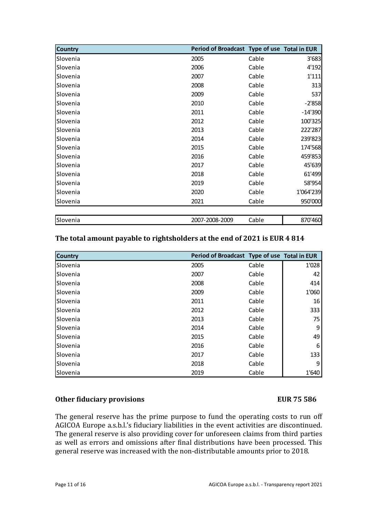| <b>Country</b> | Period of Broadcast Type of use Total in EUR |       |           |
|----------------|----------------------------------------------|-------|-----------|
| Slovenia       | 2005                                         | Cable | 3'683     |
| Slovenia       | 2006                                         | Cable | 4'192     |
| Slovenia       | 2007                                         | Cable | 1'111     |
| Slovenia       | 2008                                         | Cable | 313       |
| Slovenia       | 2009                                         | Cable | 537       |
| Slovenia       | 2010                                         | Cable | $-2'858$  |
| Slovenia       | 2011                                         | Cable | $-14'390$ |
| Slovenia       | 2012                                         | Cable | 100'325   |
| Slovenia       | 2013                                         | Cable | 222'287   |
| Slovenia       | 2014                                         | Cable | 239'823   |
| Slovenia       | 2015                                         | Cable | 174'568   |
| Slovenia       | 2016                                         | Cable | 459'853   |
| Slovenia       | 2017                                         | Cable | 45'639    |
| Slovenia       | 2018                                         | Cable | 61'499    |
| Slovenia       | 2019                                         | Cable | 58'954    |
| Slovenia       | 2020                                         | Cable | 1'064'239 |
| Slovenia       | 2021                                         | Cable | 950'000   |
|                |                                              |       |           |
| Slovenia       | 2007-2008-2009                               | Cable | 870'460   |

#### **The total amount payable to rightsholders at the end of 2021 is EUR 4 814**

| <b>Country</b>  | Period of Broadcast Type of use Total in EUR |       |       |
|-----------------|----------------------------------------------|-------|-------|
| Slovenia        | 2005                                         | Cable | 1'028 |
| Slovenia        | 2007                                         | Cable | 42    |
| <b>Slovenia</b> | 2008                                         | Cable | 414   |
| Slovenia        | 2009                                         | Cable | 1'060 |
| <b>Slovenia</b> | 2011                                         | Cable | 16    |
| Slovenia        | 2012                                         | Cable | 333   |
| Slovenia        | 2013                                         | Cable | 75    |
| l Slovenia      | 2014                                         | Cable | 9     |
| Slovenia        | 2015                                         | Cable | 49    |
| Slovenia        | 2016                                         | Cable | 6     |
| <b>Slovenia</b> | 2017                                         | Cable | 133   |
| l Slovenia      | 2018                                         | Cable | 9     |
| <b>Slovenia</b> | 2019                                         | Cable | 1'640 |

#### **Other fiduciary provisions EUR 75 586**

The general reserve has the prime purpose to fund the operating costs to run off AGICOA Europe a.s.b.l.'s fiduciary liabilities in the event activities are discontinued. The general reserve is also providing cover for unforeseen claims from third parties as well as errors and omissions after final distributions have been processed. This general reserve was increased with the non-distributable amounts prior to 2018.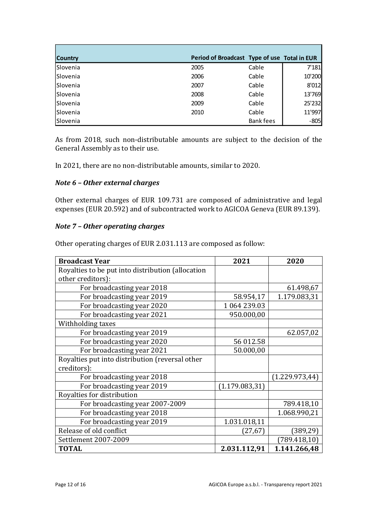| <b>Country</b> | Period of Broadcast Type of use Total in EUR |                  |        |
|----------------|----------------------------------------------|------------------|--------|
| Slovenia       | 2005                                         | Cable            | 7'181  |
| Slovenia       | 2006                                         | Cable            | 10'200 |
| Slovenia       | 2007                                         | Cable            | 8'012  |
| Slovenia       | 2008                                         | Cable            | 13'769 |
| Slovenia       | 2009                                         | Cable            | 25'232 |
| Slovenia       | 2010                                         | Cable            | 11'997 |
| Slovenia       |                                              | <b>Bank fees</b> | $-805$ |

As from 2018, such non-distributable amounts are subject to the decision of the General Assembly as to their use.

In 2021, there are no non-distributable amounts, similar to 2020.

#### *Note 6 – Other external charges*

Other external charges of EUR 109.731 are composed of administrative and legal expenses (EUR 20.592) and of subcontracted work to AGICOA Geneva (EUR 89.139).

#### *Note 7 – Other operating charges*

Other operating charges of EUR 2.031.113 are composed as follow:

| <b>Broadcast Year</b>                             | 2021            | 2020            |
|---------------------------------------------------|-----------------|-----------------|
| Royalties to be put into distribution (allocation |                 |                 |
| other creditors):                                 |                 |                 |
| For broadcasting year 2018                        |                 | 61.498,67       |
| For broadcasting year 2019                        | 58.954,17       | 1.179.083,31    |
| For broadcasting year 2020                        | 1 064 239.03    |                 |
| For broadcasting year 2021                        | 950.000,00      |                 |
| Withholding taxes                                 |                 |                 |
| For broadcasting year 2019                        |                 | 62.057,02       |
| For broadcasting year 2020                        | 56 012.58       |                 |
| For broadcasting year 2021                        | 50.000,00       |                 |
| Royalties put into distribution (reversal other   |                 |                 |
| creditors):                                       |                 |                 |
| For broadcasting year 2018                        |                 | (1.229.973, 44) |
| For broadcasting year 2019                        | (1.179.083, 31) |                 |
| Royalties for distribution                        |                 |                 |
| For broadcasting year 2007-2009                   |                 | 789.418,10      |
| For broadcasting year 2018                        |                 | 1.068.990,21    |
| For broadcasting year 2019                        | 1.031.018,11    |                 |
| Release of old conflict                           | (27, 67)        | (389,29)        |
| Settlement 2007-2009                              |                 | (789.418, 10)   |
| <b>TOTAL</b>                                      | 2.031.112,91    | 1.141.266,48    |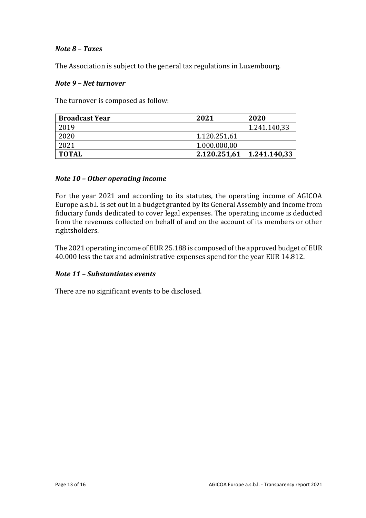#### *Note 8 – Taxes*

The Association is subject to the general tax regulations in Luxembourg.

#### *Note 9 – Net turnover*

The turnover is composed as follow:

| <b>Broadcast Year</b> | 2021         | 2020         |
|-----------------------|--------------|--------------|
| 2019                  |              | 1.241.140,33 |
| 2020                  | 1.120.251,61 |              |
| 2021                  | 1.000.000,00 |              |
| <b>TOTAL</b>          | 2.120.251,61 | 1.241.140.33 |

#### *Note 10 – Other operating income*

For the year 2021 and according to its statutes, the operating income of AGICOA Europe a.s.b.l. is set out in a budget granted by its General Assembly and income from fiduciary funds dedicated to cover legal expenses. The operating income is deducted from the revenues collected on behalf of and on the account of its members or other rightsholders.

The 2021 operating income of EUR 25.188 is composed of the approved budget of EUR 40.000 less the tax and administrative expenses spend for the year EUR 14.812.

#### *Note 11 – Substantiates events*

There are no significant events to be disclosed.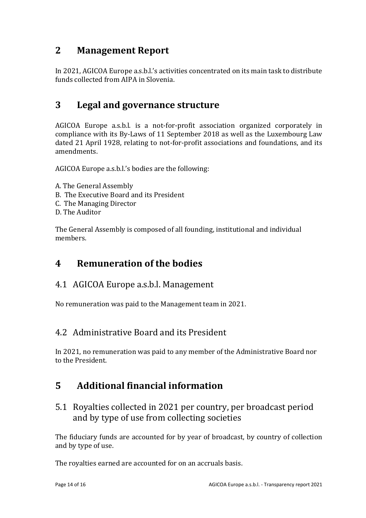# <span id="page-14-0"></span>**2 Management Report**

In 2021, AGICOA Europe a.s.b.l.'s activities concentrated on its main task to distribute funds collected from AIPA in Slovenia.

# <span id="page-14-1"></span>**3 Legal and governance structure**

AGICOA Europe a.s.b.l. is a not-for-profit association organized corporately in compliance with its By-Laws of 11 September 2018 as well as the Luxembourg Law dated 21 April 1928, relating to not-for-profit associations and foundations, and its amendments.

AGICOA Europe a.s.b.l.'s bodies are the following:

- A. The General Assembly
- B. The Executive Board and its President
- C. The Managing Director
- D. The Auditor

The General Assembly is composed of all founding, institutional and individual members.

# <span id="page-14-2"></span>**4 Remuneration of the bodies**

## <span id="page-14-3"></span>4.1 AGICOA Europe a.s.b.l. Management

No remuneration was paid to the Management team in 2021.

## <span id="page-14-4"></span>4.2 Administrative Board and its President

In 2021, no remuneration was paid to any member of the Administrative Board nor to the President.

# <span id="page-14-5"></span>**5 Additional financial information**

## <span id="page-14-6"></span>5.1 Royalties collected in 2021 per country, per broadcast period and by type of use from collecting societies

The fiduciary funds are accounted for by year of broadcast, by country of collection and by type of use.

The royalties earned are accounted for on an accruals basis.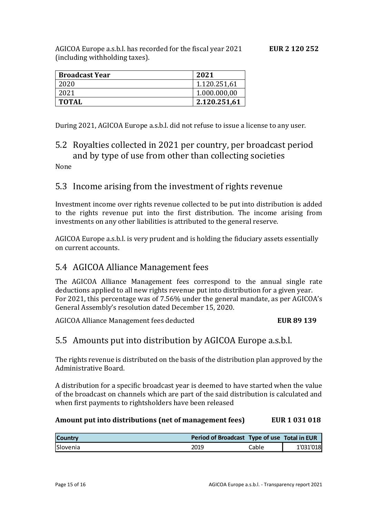AGICOA Europe a.s.b.l. has recorded for the fiscal year 2021 **EUR 2 120 252** (including withholding taxes).

| <b>Broadcast Year</b> | 2021         |
|-----------------------|--------------|
| 2020                  | 1.120.251,61 |
| 2021                  | 1.000.000,00 |
| <b>TOTAL</b>          | 2.120.251,61 |

<span id="page-15-0"></span>During 2021, AGICOA Europe a.s.b.l. did not refuse to issue a license to any user.

# 5.2 Royalties collected in 2021 per country, per broadcast period and by type of use from other than collecting societies

<span id="page-15-1"></span>None

## 5.3 Income arising from the investment of rights revenue

Investment income over rights revenue collected to be put into distribution is added to the rights revenue put into the first distribution. The income arising from investments on any other liabilities is attributed to the general reserve.

AGICOA Europe a.s.b.l. is very prudent and is holding the fiduciary assets essentially on current accounts.

## <span id="page-15-2"></span>5.4 AGICOA Alliance Management fees

The AGICOA Alliance Management fees correspond to the annual single rate deductions applied to all new rights revenue put into distribution for a given year. For 2021, this percentage was of 7.56% under the general mandate, as per AGICOA's General Assembly's resolution dated December 15, 2020.

<span id="page-15-3"></span>AGICOA Alliance Management fees deducted **EUR 89 139** 

## 5.5 Amounts put into distribution by AGICOA Europe a.s.b.l.

The rights revenue is distributed on the basis of the distribution plan approved by the Administrative Board.

A distribution for a specific broadcast year is deemed to have started when the value of the broadcast on channels which are part of the said distribution is calculated and when first payments to rightsholders have been released

#### **Amount put into distributions (net of management fees) EUR 1 031 018**

| <b>Country</b> | Period of Broadcast Type of use Total in EUR |       |           |
|----------------|----------------------------------------------|-------|-----------|
| Slovenia       | 2019                                         | Cable | 1'031'018 |